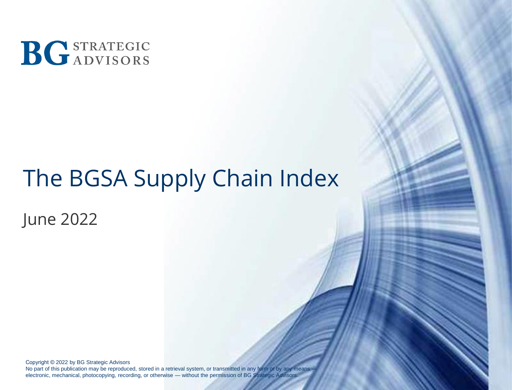

# The BGSA Supply Chain Index

June 2022

Copyright © 2022 by BG Strategic Advisors No part of this publication may be reproduced, stored in a retrieval system, or transmitted in any form or by any means electronic, mechanical, photocopying, recording, or otherwise — without the permission of BG Strategic Advisors.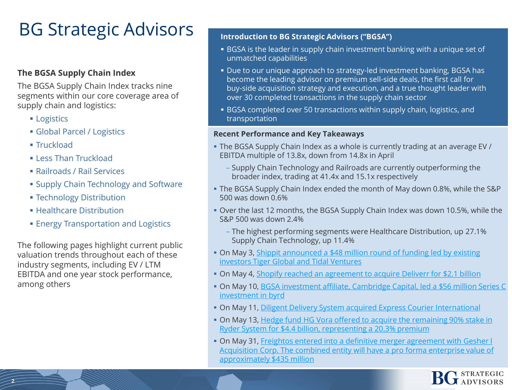## BG Strategic Advisors

#### **The BGSA Supply Chain Index**

The BGSA Supply Chain Index tracks nine segments within our core coverage area of supply chain and logistics:

- **Logistics**
- **Global Parcel / Logistics**
- $$
- **ELess Than Truckload**
- Railroads / Rail Services
- **Examply Chain Technology and Software**
- **Exercise 3 Feedmology Distribution**
- **E** Healthcare Distribution
- **Energy Transportation and Logistics**

The following pages highlight current public valuation trends throughout each of these industry segments, including EV / LTM EBITDA and one year stock performance, among others

#### **Introduction to BG Strategic Advisors ("BGSA")**

- **EXALTHSH** BGSA is the leader in supply chain investment banking with a unique set of unmatched capabilities
- Due to our unique approach to strategy-led investment banking, BGSA has become the leading advisor on premium sell-side deals, the first call for buy-side acquisition strategy and execution, and a true thought leader with over 30 completed transactions in the supply chain sector
- BGSA completed over 50 transactions within supply chain, logistics, and transportation

#### **Recent Performance and Key Takeaways**

- The BGSA Supply Chain Index as a whole is currently trading at an average EV / EBITDA multiple of 13.8x, down from 14.8x in April
	- Supply Chain Technology and Railroads are currently outperforming the broader index, trading at 41.4x and 15.1x respectively
- The BGSA Supply Chain Index ended the month of May down 0.8%, while the S&P 500 was down 0.6%
- Over the last 12 months, the BGSA Supply Chain Index was down 10.5%, while the S&P 500 was down 2.4%
	- The highest performing segments were Healthcare Distribution, up 27.1% Supply Chain Technology, up 11.4%
- On May 3, Shippit announced a \$48 million round of funding led by existing investors Tiger Global and Tidal Ventures
- **On May 4, [Shopify reached an agreement to acquire Deliverr](https://www.freightwaves.com/news/shopify-to-buy-last-mile-delivery-tech-firm-deliverr) for \$2.1 billion**
- [On May 10, BGSA investment affiliate, Cambridge Capital, led a \\$56 million Series C](https://medium.com/supply-chains/byrd-why-we-invested-dc14dafc32ac) investment in byrd
- **On May 11, [Diligent Delivery System acquired Express Courier International](https://www.prnewswire.com/news-releases/diligent-delivery-systems-acquires-express-courier-international-301545198.html)**
- [On May 13, Hedge fund HG Vora offered to acquire the remaining 90% stake in](https://www.wsj.com/articles/activist-investor-seeks-ryder-buyout-in-4-4-billion-deal-11652470071?mod=flipboard) Ryder System for \$4.4 billion, representing a 20.3% premium
- **On May 31, Freightos entered into a definitive merger agreement with Gesher I** [Acquisition Corp. The combined entity will have a pro forma enterprise value of](https://www.prnewswire.com/il/news-releases/freightos-a-leading-booking-and-payment-platform-digitalizing-global-freight-to-raise-growth-capital-and-become-public-via-business-combination-with-gesher-i-acquisition-corp-301558271.html)  approximately \$435 million

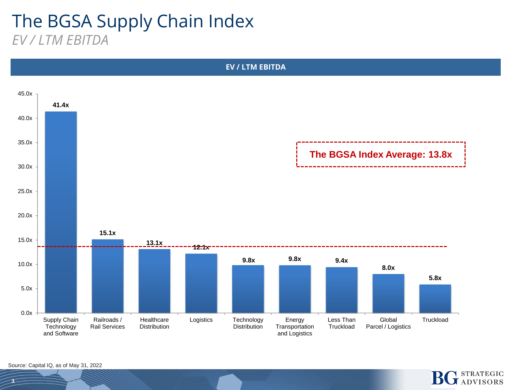#### The BGSA Supply Chain Index *EV / LTM EBITDA*



**STRATEGIC JADVISORS** 

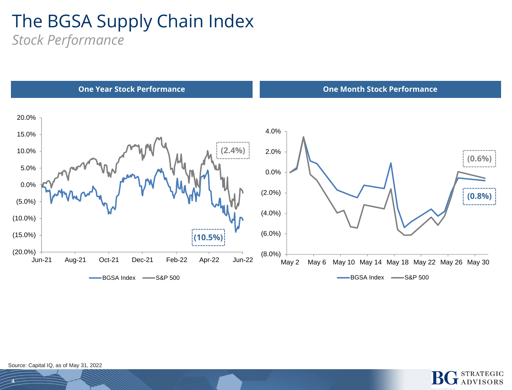#### The BGSA Supply Chain Index *Stock Performance*





Source: Capital IQ, as of May 31, 2022

**4**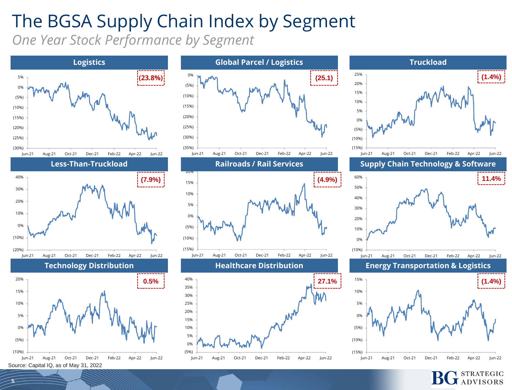# The BGSA Supply Chain Index by Segment

*One Year Stock Performance by Segment*





![](_page_4_Figure_4.jpeg)

**ADVISORS** 

**5**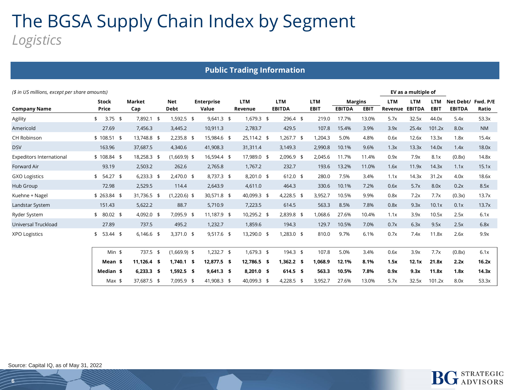### The BGSA Supply Chain Index by Segment *Logistics*

|                                               |                       |               |                           |                            | <b>Public Trading Information</b> |                             |              |                           |               |                               |                       |                             |                           |                            |                   |
|-----------------------------------------------|-----------------------|---------------|---------------------------|----------------------------|-----------------------------------|-----------------------------|--------------|---------------------------|---------------|-------------------------------|-----------------------|-----------------------------|---------------------------|----------------------------|-------------------|
| (\$ in US millions, except per share amounts) |                       |               |                           |                            |                                   |                             |              |                           |               |                               |                       | EV as a multiple of         |                           |                            |                   |
| Company Name                                  | <b>Stock</b><br>Price | Market<br>Cap | <b>Net</b><br><b>Debt</b> | <b>Enterprise</b><br>Value | <b>LTM</b><br>Revenue             | <b>LTM</b><br><b>EBITDA</b> |              | <b>LTM</b><br><b>EBIT</b> | <b>EBITDA</b> | <b>Margins</b><br><b>EBIT</b> | <b>LTM</b><br>Revenue | <b>LTM</b><br><b>EBITDA</b> | <b>LTM</b><br><b>EBIT</b> | Net Debt/<br><b>EBITDA</b> | Fwd. P/E<br>Ratio |
| Agility                                       | $3.75$ \$<br>\$       | 7,892.1 \$    | $1,592.5$ \$              | $9,641.3$ \$               | $1,679.3$ \$                      |                             | $296.4$ \$   | 219.0                     | 17.7%         | 13.0%                         | 5.7x                  | 32.5x                       | 44.0x                     | 5.4x                       | 53.3x             |
| Americold                                     | 27.69                 | 7,456.3       | 3,445.2                   | 10,911.3                   | 2,783.7                           |                             | 429.5        | 107.8                     | 15.4%         | 3.9%                          | 3.9x                  | 25.4x                       | 101.2x                    | 8.0x                       | <b>NM</b>         |
| <b>CH Robinson</b>                            | $$108.51$ \$          | 13,748.8 \$   | $2,235.8$ \$              | 15,984.6 \$                | 25,114.2 \$                       |                             | $1,267.7$ \$ | 1,204.3                   | 5.0%          | 4.8%                          | 0.6x                  | 12.6x                       | 13.3x                     | 1.8x                       | 15.4x             |
| <b>DSV</b>                                    | 163.96                | 37,687.5      | 4,340.6                   | 41,908.3                   | 31,311.4                          |                             | 3,149.3      | 2,990.8                   | 10.1%         | 9.6%                          | 1.3x                  | 13.3x                       | 14.0x                     | 1.4x                       | 18.0x             |
| <b>Expeditors International</b>               | $$108.84$ \$          | 18,258.3 \$   | $(1,669.9)$ \$            | 16,594.4 \$                | 17,989.0 \$                       |                             | 2,096.9 \$   | 2,045.6                   | 11.7%         | 11.4%                         | 0.9x                  | 7.9x                        | 8.1x                      | (0.8x)                     | 14.8x             |
| Forward Air                                   | 93.19                 | 2,503.2       | 262.6                     | 2,765.8                    | 1,767.2                           |                             | 232.7        | 193.6                     | 13.2%         | 11.0%                         | 1.6x                  | 11.9x                       | 14.3x                     | 1.1x                       | 15.1x             |
| <b>GXO Logistics</b>                          | $$54.27$ \$           | $6,233.3$ \$  | $2,470.0$ \$              | 8,737.3 \$                 | 8,201.0 \$                        |                             | $612.0$ \$   | 280.0                     | 7.5%          | 3.4%                          | 1.1x                  | 14.3x                       | 31.2x                     | 4.0x                       | 18.6x             |
| Hub Group                                     | 72.98                 | 2,529.5       | 114.4                     | 2,643.9                    | 4,611.0                           |                             | 464.3        | 330.6                     | 10.1%         | 7.2%                          | 0.6x                  | 5.7x                        | 8.0x                      | 0.2x                       | 8.5x              |
| Kuehne + Nagel                                | $$263.84$ \$          | 31,736.5 \$   | $(1,220.6)$ \$            | 30,571.8 \$                | 40,099.3 \$                       |                             | 4,228.5 \$   | 3,952.7                   | 10.5%         | 9.9%                          | 0.8x                  | 7.2x                        | 7.7x                      | (0.3x)                     | 13.7x             |
| Landstar System                               | 151.43                | 5,622.2       | 88.7                      | 5,710.9                    | 7,223.5                           |                             | 614.5        | 563.3                     | 8.5%          | 7.8%                          | 0.8x                  | 9.3x                        | 10.1x                     | 0.1x                       | 13.7x             |
| Ryder System                                  | \$80.02\$             | 4,092.0 \$    | 7,095.9 \$                | 11,187.9 \$                | 10,295.2 \$                       |                             | 2,839.8 \$   | 1,068.6                   | 27.6%         | 10.4%                         | 1.1x                  | 3.9x                        | 10.5x                     | 2.5x                       | 6.1x              |
| Universal Truckload                           | 27.89                 | 737.5         | 495.2                     | 1,232.7                    | 1,859.6                           |                             | 194.3        | 129.7                     | 10.5%         | 7.0%                          | 0.7x                  | 6.3x                        | 9.5x                      | 2.5x                       | 6.8x              |
| <b>XPO Logistics</b>                          | $$53.44$ \$           | $6,146.6$ \$  | $3,371.0$ \$              | $9,517.6$ \$               | 13,290.0 \$                       |                             | $1,283.0$ \$ | 810.0                     | 9.7%          | 6.1%                          | 0.7x                  | 7.4x                        | 11.8x                     | 2.6x                       | 9.9x              |
|                                               | $Min$ \$              | 737.5 \$      | $(1,669.9)$ \$            | $1,232.7$ \$               | 1,679.3 \$                        |                             | 194.3 \$     | 107.8                     | 5.0%          | 3.4%                          | 0.6x                  | 3.9x                        | 7.7x                      | (0.8x)                     | 6.1x              |
|                                               | Mean \$               | $11,126.4$ \$ | $1,740.1$ \$              | 12,877.5 \$                | 12,786.5 \$                       |                             | $1,362.2$ \$ | 1,068.9                   | 12.1%         | 8.1%                          | 1.5x                  | 12.1x                       | 21.8x                     | 2.2x                       | 16.2x             |
|                                               | Median \$             | $6,233.3$ \$  | $1,592.5$ \$              | $9,641.3$ \$               | 8,201.0 \$                        |                             | $614.5$ \$   | 563.3                     | 10.5%         | 7.8%                          | 0.9x                  | 9.3x                        | 11.8x                     | 1.8x                       | 14.3x             |
|                                               | $Max$ \$              | 37,687.5 \$   | 7,095.9 \$                | 41,908.3 \$                | 40,099.3 \$                       |                             | 4,228.5 \$   | 3,952.7                   | 27.6%         | 13.0%                         | 5.7x                  | 32.5x                       | 101.2x                    | 8.0x                       | 53.3x             |
|                                               |                       |               |                           |                            |                                   |                             |              |                           |               |                               |                       |                             |                           |                            |                   |

![](_page_5_Picture_2.jpeg)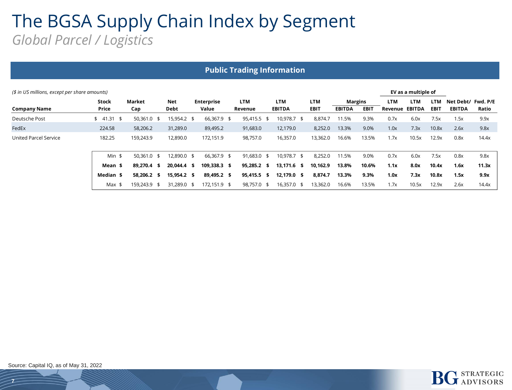#### The BGSA Supply Chain Index by Segment *Global Parcel / Logistics*

| <b>Public Trading Information</b>                                    |                       |                  |             |                            |                |                             |                           |                                 |             |                |                             |                           |                            |                   |
|----------------------------------------------------------------------|-----------------------|------------------|-------------|----------------------------|----------------|-----------------------------|---------------------------|---------------------------------|-------------|----------------|-----------------------------|---------------------------|----------------------------|-------------------|
| EV as a multiple of<br>(\$ in US millions, except per share amounts) |                       |                  |             |                            |                |                             |                           |                                 |             |                |                             |                           |                            |                   |
| Company Name                                                         | <b>Stock</b><br>Price | Market<br>Cap    | Net<br>Debt | <b>Enterprise</b><br>Value | LTM<br>Revenue | <b>LTM</b><br><b>EBITDA</b> | <b>LTM</b><br><b>EBIT</b> | <b>Margins</b><br><b>EBITDA</b> | <b>EBIT</b> | LTM<br>Revenue | <b>LTM</b><br><b>EBITDA</b> | <b>LTM</b><br><b>EBIT</b> | Net Debt/<br><b>EBITDA</b> | Fwd. P/E<br>Ratio |
| Deutsche Post                                                        | \$41.31<br>- \$       | 50,361.0<br>- \$ | 15,954.2 \$ | 66,367.9 \$                | 95,415.5 \$    | 10,978.7 \$                 | 8,874.7                   | 11.5%                           | 9.3%        | 0.7x           | 6.0x                        | 7.5x                      | 1.5x                       | 9.9x              |
| FedEx                                                                | 224.58                | 58,206.2         | 31,289.0    | 89,495.2                   | 91,683.0       | 12,179.0                    | 8,252.0                   | 13.3%                           | 9.0%        | 1.0x           | 7.3x                        | 10.8x                     | 2.6x                       | 9.8x              |
| United Parcel Service                                                | 182.25                | 159,243.9        | 12,890.0    | 172,151.9                  | 98,757.0       | 16,357.0                    | 13,362.0                  | 16.6%                           | 13.5%       | 1.7x           | 10.5x                       | 12.9x                     | 0.8x                       | 14.4x             |
|                                                                      | Min $$$               | $50,361.0$ \$    | 12,890.0 \$ | 66,367.9 \$                | 91,683.0 \$    | 10,978.7 \$                 | 8,252.0                   | 11.5%                           | 9.0%        | 0.7x           | 6.0x                        | 7.5x                      | 0.8x                       | 9.8x              |
|                                                                      | Mean \$               | 89,270.4 \$      | 20,044.4 \$ | 109,338.3 \$               | 95,285.2 \$    | 13,171.6 \$                 | 10,162.9                  | 13.8%                           | 10.6%       | 1.1x           | 8.0x                        | 10.4x                     | 1.6x                       | 11.3x             |
|                                                                      | Median \$             | 58,206.2 \$      | 15,954.2 \$ | 89,495.2 \$                | 95,415.5 \$    | 12,179.0 \$                 | 8,874.7                   | 13.3%                           | 9.3%        | 1.0x           | 7.3x                        | 10.8x                     | 1.5x                       | 9.9x              |
|                                                                      | Max \$                | 159,243.9 \$     | 31,289.0 \$ | 172,151.9 \$               | 98,757.0 \$    | 16,357.0 \$                 | 13,362.0                  | 16.6%                           | 13.5%       | 1.7x           | 10.5x                       | 12.9x                     | 2.6x                       | 14.4x             |

![](_page_6_Picture_2.jpeg)

**7**

![](_page_6_Picture_3.jpeg)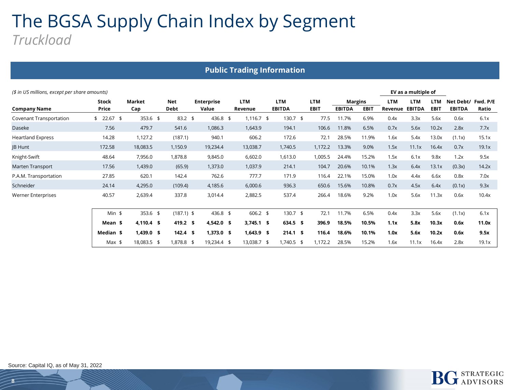### The BGSA Supply Chain Index by Segment *Truckload*

|                           | <b>Public Trading Information</b>                                    |               |                    |                            |                       |                             |                           |               |                               |                       |                             |                           |                            |                   |  |
|---------------------------|----------------------------------------------------------------------|---------------|--------------------|----------------------------|-----------------------|-----------------------------|---------------------------|---------------|-------------------------------|-----------------------|-----------------------------|---------------------------|----------------------------|-------------------|--|
|                           | (\$ in US millions, except per share amounts)<br>EV as a multiple of |               |                    |                            |                       |                             |                           |               |                               |                       |                             |                           |                            |                   |  |
| <b>Company Name</b>       | <b>Stock</b><br><b>Price</b>                                         | Market<br>Cap | <b>Net</b><br>Debt | <b>Enterprise</b><br>Value | <b>LTM</b><br>Revenue | <b>LTM</b><br><b>EBITDA</b> | <b>LTM</b><br><b>EBIT</b> | <b>EBITDA</b> | <b>Margins</b><br><b>EBIT</b> | <b>LTM</b><br>Revenue | <b>LTM</b><br><b>EBITDA</b> | <b>LTM</b><br><b>EBIT</b> | Net Debt/<br><b>EBITDA</b> | Fwd. P/E<br>Ratio |  |
| Covenant Transportation   | $$22.67$ \$                                                          | 353.6 \$      | $83.2$ \$          | 436.8 \$                   | $1,116.7$ \$          | $130.7$ \$                  | 77.5                      | 11.7%         | 6.9%                          | 0.4x                  | 3.3x                        | 5.6x                      | 0.6x                       | 6.1x              |  |
| Daseke                    | 7.56                                                                 | 479.7         | 541.6              | 1,086.3                    | 1,643.9               | 194.1                       | 106.6                     | 11.8%         | 6.5%                          | 0.7x                  | 5.6x                        | 10.2x                     | 2.8x                       | 7.7x              |  |
| <b>Heartland Express</b>  | 14.28                                                                | 1,127.2       | (187.1)            | 940.1                      | 606.2                 | 172.6                       | 72.1                      | 28.5%         | 11.9%                         | 1.6x                  | 5.4x                        | 13.0x                     | (1.1x)                     | 15.1x             |  |
| <b>JB Hunt</b>            | 172.58                                                               | 18,083.5      | 1,150.9            | 19,234.4                   | 13,038.7              | 1,740.5                     | 1,172.2                   | 13.3%         | 9.0%                          | 1.5x                  | 11.1x                       | 16.4x                     | 0.7x                       | 19.1x             |  |
| Knight-Swift              | 48.64                                                                | 7,956.0       | 1,878.8            | 9,845.0                    | 6,602.0               | 1,613.0                     | 1,005.5                   | 24.4%         | 15.2%                         | 1.5x                  | 6.1x                        | 9.8x                      | 1.2x                       | 9.5x              |  |
| Marten Transport          | 17.56                                                                | 1,439.0       | (65.9)             | 1,373.0                    | 1,037.9               | 214.1                       | 104.7                     | 20.6%         | 10.1%                         | 1.3x                  | 6.4x                        | 13.1x                     | (0.3x)                     | 14.2x             |  |
| P.A.M. Transportation     | 27.85                                                                | 620.1         | 142.4              | 762.6                      | 777.7                 | 171.9                       | 116.4                     | 22.1%         | 15.0%                         | 1.0x                  | 4.4x                        | 6.6x                      | 0.8x                       | 7.0x              |  |
| Schneider                 | 24.14                                                                | 4,295.0       | (109.4)            | 4,185.6                    | 6,000.6               | 936.3                       | 650.6                     | 15.6%         | 10.8%                         | 0.7x                  | 4.5x                        | 6.4x                      | (0.1x)                     | 9.3x              |  |
| <b>Werner Enterprises</b> | 40.57                                                                | 2,639.4       | 337.8              | 3,014.4                    | 2,882.5               | 537.4                       | 266.4                     | 18.6%         | 9.2%                          | 1.0x                  | 5.6x                        | 11.3x                     | 0.6x                       | 10.4x             |  |
|                           | $Min$ \$                                                             | 353.6 \$      | $(187.1)$ \$       | 436.8 \$                   | $606.2$ \$            | $130.7$ \$                  | 72.1                      | 11.7%         | 6.5%                          | 0.4x                  | 3.3x                        | 5.6x                      | (1.1x)                     | 6.1x              |  |
|                           | Mean \$                                                              | $4,110.4$ \$  | 419.2 \$           | $4,542.0$ \$               | $3,745.1$ \$          | 634.5 \$                    | 396.9                     | 18.5%         | 10.5%                         | 1.1x                  | 5.8x                        | 10.3x                     | 0.6x                       | 11.0x             |  |
|                           | Median \$                                                            | $1,439.0$ \$  | $142.4$ \$         | $1,373.0$ \$               | $1,643.9$ \$          | $214.1$ \$                  | 116.4                     | 18.6%         | 10.1%                         | 1.0x                  | 5.6x                        | 10.2x                     | 0.6x                       | 9.5x              |  |
|                           | Max \$                                                               | 18,083.5 \$   | 1,878.8 \$         | 19,234.4 \$                | 13,038.7 \$           | $1,740.5$ \$                | 1,172.2                   | 28.5%         | 15.2%                         | 1.6x                  | 11.1x                       | 16.4x                     | 2.8x                       | 19.1x             |  |

![](_page_7_Picture_2.jpeg)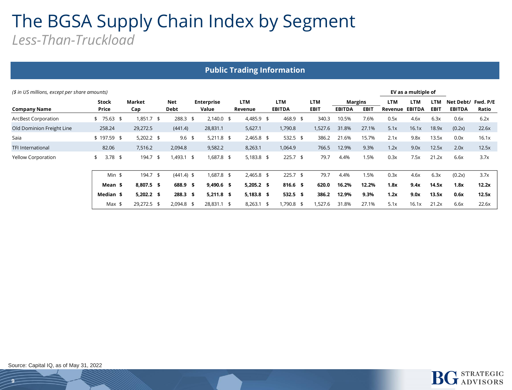#### The BGSA Supply Chain Index by Segment *Less-Than-Truckload*

| <b>Public Trading Information</b>                                    |                 |               |  |                    |  |                            |  |                       |  |                             |  |                    |                                 |             |                       |                             |                           |                                     |       |
|----------------------------------------------------------------------|-----------------|---------------|--|--------------------|--|----------------------------|--|-----------------------|--|-----------------------------|--|--------------------|---------------------------------|-------------|-----------------------|-----------------------------|---------------------------|-------------------------------------|-------|
| EV as a multiple of<br>(\$ in US millions, except per share amounts) |                 |               |  |                    |  |                            |  |                       |  |                             |  |                    |                                 |             |                       |                             |                           |                                     |       |
| <b>Company Name</b>                                                  | Stock<br>Price  | Market<br>Cap |  | <b>Net</b><br>Debt |  | <b>Enterprise</b><br>Value |  | <b>LTM</b><br>Revenue |  | <b>LTM</b><br><b>EBITDA</b> |  | LTM<br><b>EBIT</b> | <b>Margins</b><br><b>EBITDA</b> | <b>EBIT</b> | <b>LTM</b><br>Revenue | <b>LTM</b><br><b>EBITDA</b> | <b>LTM</b><br><b>EBIT</b> | Net Debt/ Fwd. P/E<br><b>EBITDA</b> | Ratio |
| <b>ArcBest Corporation</b>                                           | \$75.63\$       | $1,851.7$ \$  |  | $288.3$ \$         |  | $2,140.0$ \$               |  | 4,485.9 \$            |  | 468.9 \$                    |  | 340.3              | 10.5%                           | 7.6%        | 0.5x                  | 4.6x                        | 6.3x                      | 0.6x                                | 6.2x  |
| Old Dominion Freight Line                                            | 258.24          | 29,272.5      |  | (441.4)            |  | 28,831.1                   |  | 5,627.1               |  | 1,790.8                     |  | 1,527.6            | 31.8%                           | 27.1%       | 5.1x                  | 16.1x                       | 18.9x                     | (0.2x)                              | 22.6x |
| Saia                                                                 | $$197.59$ \$    | $5,202.2$ \$  |  | $9.6$ \$           |  | $5,211.8$ \$               |  | $2,465.8$ \$          |  | $532.5$ \$                  |  | 386.2              | 21.6%                           | 15.7%       | 2.1x                  | 9.8x                        | 13.5x                     | 0.0x                                | 16.1x |
| <b>TFI International</b>                                             | 82.06           | 7,516.2       |  | 2,094.8            |  | 9,582.2                    |  | 8,263.1               |  | 1,064.9                     |  | 766.5              | 12.9%                           | 9.3%        | 1.2x                  | 9.0x                        | 12.5x                     | 2.0x                                | 12.5x |
| Yellow Corporation                                                   | $3.78$ \$<br>\$ | 194.7 \$      |  | 1,493.1 \$         |  | 1,687.8 \$                 |  | $5,183.8$ \$          |  | $225.7$ \$                  |  | 79.7               | 4.4%                            | 1.5%        | 0.3x                  | 7.5x                        | 21.2x                     | 6.6x                                | 3.7x  |
|                                                                      | $Min$ \$        | 194.7 \$      |  | $(441.4)$ \$       |  | 1,687.8 \$                 |  | $2,465.8$ \$          |  | $225.7$ \$                  |  | 79.7               | 4.4%                            | 1.5%        | 0.3x                  | 4.6x                        | 6.3x                      | (0.2x)                              | 3.7x  |
|                                                                      | Mean \$         | 8,807.5 \$    |  | 688.9 \$           |  | $9,490.6$ \$               |  | $5,205.2$ \$          |  | $816.6$ \$                  |  | 620.0              | 16.2%                           | 12.2%       | 1.8x                  | 9.4x                        | 14.5x                     | 1.8x                                | 12.2x |
|                                                                      | Median \$       | $5,202.2$ \$  |  | $288.3$ \$         |  | $5,211.8$ \$               |  | $5,183.8$ \$          |  | $532.5$ \$                  |  | 386.2              | 12.9%                           | 9.3%        | 1.2x                  | 9.0x                        | 13.5x                     | 0.6x                                | 12.5x |
|                                                                      | Max \$          | 29,272.5 \$   |  | $2,094.8$ \$       |  | 28,831.1 \$                |  | $8,263.1$ \$          |  | 1,790.8 \$                  |  | 1,527.6            | 31.8%                           | 27.1%       | 5.1x                  | 16.1x                       | 21.2x                     | 6.6x                                | 22.6x |

![](_page_8_Picture_3.jpeg)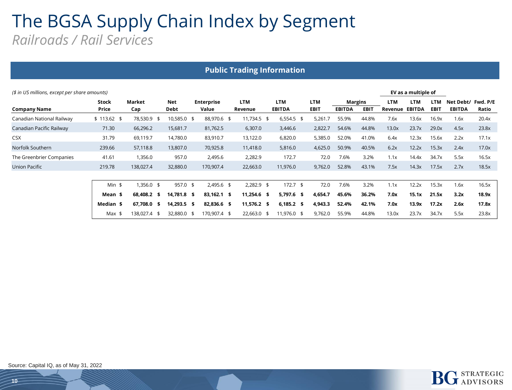#### The BGSA Supply Chain Index by Segment *Railroads / Rail Services*

| <b>Public Trading Information</b> |                                                                      |                  |                    |  |                            |  |                       |  |                             |  |                           |                                 |             |                       |                             |                           |                            |                   |
|-----------------------------------|----------------------------------------------------------------------|------------------|--------------------|--|----------------------------|--|-----------------------|--|-----------------------------|--|---------------------------|---------------------------------|-------------|-----------------------|-----------------------------|---------------------------|----------------------------|-------------------|
|                                   | EV as a multiple of<br>(\$ in US millions, except per share amounts) |                  |                    |  |                            |  |                       |  |                             |  |                           |                                 |             |                       |                             |                           |                            |                   |
| <b>Company Name</b>               | <b>Stock</b><br>Price                                                | Market<br>Cap    | <b>Net</b><br>Debt |  | <b>Enterprise</b><br>Value |  | <b>LTM</b><br>Revenue |  | <b>LTM</b><br><b>EBITDA</b> |  | <b>LTM</b><br><b>EBIT</b> | <b>Margins</b><br><b>EBITDA</b> | <b>EBIT</b> | <b>LTM</b><br>Revenue | <b>LTM</b><br><b>EBITDA</b> | <b>LTM</b><br><b>EBIT</b> | Net Debt/<br><b>EBITDA</b> | Fwd. P/E<br>Ratio |
| Canadian National Railway         | $$113.62$ \$                                                         | 78,530.9 \$      | 10,585.0 \$        |  | 88,970.6 \$                |  | 11,734.5 \$           |  | $6,554.5$ \$                |  | 5,261.7                   | 55.9%                           | 44.8%       | 7.6x                  | 13.6x                       | 16.9x                     | 1.6x                       | 20.4x             |
| Canadian Pacific Railway          | 71.30                                                                | 66,296.2         | 15,681.7           |  | 81,762.5                   |  | 6,307.0               |  | 3,446.6                     |  | 2,822.7                   | 54.6%                           | 44.8%       | 13.0x                 | 23.7x                       | 29.0x                     | 4.5x                       | 23.8x             |
| <b>CSX</b>                        | 31.79                                                                | 69,119.7         | 14,780.0           |  | 83,910.7                   |  | 13,122.0              |  | 6,820.0                     |  | 5,385.0                   | 52.0%                           | 41.0%       | 6.4x                  | 12.3x                       | 15.6x                     | 2.2x                       | 17.1x             |
| Norfolk Southern                  | 239.66                                                               | 57,118.8         | 13,807.0           |  | 70,925.8                   |  | 11,418.0              |  | 5,816.0                     |  | 4,625.0                   | 50.9%                           | 40.5%       | 6.2x                  | 12.2x                       | 15.3x                     | 2.4x                       | 17.0x             |
| The Greenbrier Companies          | 41.61                                                                | 1,356.0          | 957.0              |  | 2,495.6                    |  | 2,282.9               |  | 172.7                       |  | 72.0                      | 7.6%                            | 3.2%        | 1.1x                  | 14.4x                       | 34.7x                     | 5.5x                       | 16.5x             |
| <b>Union Pacific</b>              | 219.78                                                               | 138,027.4        | 32,880.0           |  | 170,907.4                  |  | 22,663.0              |  | 11,976.0                    |  | 9,762.0                   | 52.8%                           | 43.1%       | 7.5x                  | 14.3x                       | 17.5x                     | 2.7x                       | 18.5x             |
|                                   |                                                                      |                  |                    |  |                            |  |                       |  |                             |  |                           |                                 |             |                       |                             |                           |                            |                   |
|                                   | $Min$ \$                                                             | 1,356.0 \$       | 957.0 \$           |  | $2,495.6$ \$               |  | $2,282.9$ \$          |  | $172.7$ \$                  |  | 72.0                      | 7.6%                            | 3.2%        | 1.1x                  | 12.2x                       | 15.3x                     | 1.6x                       | 16.5x             |
|                                   | Mean \$                                                              | 68,408.2 \$      | 14,781.8 \$        |  | 83,162.1 \$                |  | $11,254.6$ \$         |  | $5,797.6$ \$                |  | 4,654.7                   | 45.6%                           | 36.2%       | 7.0x                  | 15.1x                       | 21.5x                     | 3.2x                       | 18.9x             |
|                                   | Median \$                                                            | 67,708.0<br>- \$ | 14,293.5 \$        |  | 82,836.6 \$                |  | 11,576.2 \$           |  | $6,185.2$ \$                |  | 4,943.3                   | 52.4%                           | 42.1%       | 7.0x                  | 13.9x                       | 17.2x                     | 2.6x                       | 17.8x             |
|                                   | $Max$ \$                                                             | 138,027.4 \$     | 32,880.0 \$        |  | 170,907.4 \$               |  | 22,663.0 \$           |  | 11,976.0 \$                 |  | 9,762.0                   | 55.9%                           | 44.8%       | 13.0x                 | 23.7x                       | 34.7x                     | 5.5x                       | 23.8x             |

![](_page_9_Picture_2.jpeg)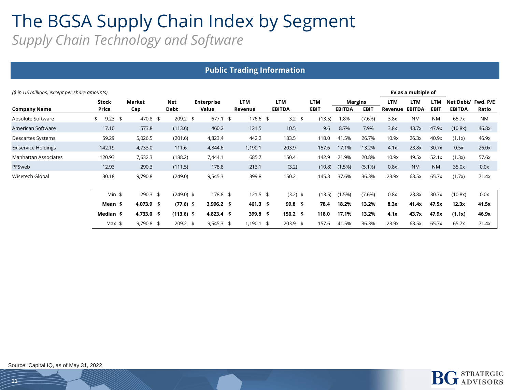#### The BGSA Supply Chain Index by Segment *Supply Chain Technology and Software*

| <b>Public Trading Information</b> |                                                                      |               |                    |                            |                |                             |                           |                                 |             |                |                             |                           |                                     |           |  |
|-----------------------------------|----------------------------------------------------------------------|---------------|--------------------|----------------------------|----------------|-----------------------------|---------------------------|---------------------------------|-------------|----------------|-----------------------------|---------------------------|-------------------------------------|-----------|--|
|                                   | EV as a multiple of<br>(\$ in US millions, except per share amounts) |               |                    |                            |                |                             |                           |                                 |             |                |                             |                           |                                     |           |  |
| <b>Company Name</b>               | <b>Stock</b><br>Price                                                | Market<br>Cap | <b>Net</b><br>Debt | <b>Enterprise</b><br>Value | LTM<br>Revenue | <b>LTM</b><br><b>EBITDA</b> | <b>LTM</b><br><b>EBIT</b> | <b>Margins</b><br><b>EBITDA</b> | <b>EBIT</b> | LTM<br>Revenue | <b>LTM</b><br><b>EBITDA</b> | <b>LTM</b><br><b>EBIT</b> | Net Debt/ Fwd. P/E<br><b>EBITDA</b> | Ratio     |  |
| Absolute Software                 | $9.23$ \$<br>\$                                                      | 470.8 \$      | $209.2$ \$         | $677.1$ \$                 | 176.6 \$       | $3.2 \quad $$               | (13.5)                    | 1.8%                            | (7.6%)      | 3.8x           | <b>NM</b>                   | <b>NM</b>                 | 65.7x                               | <b>NM</b> |  |
| American Software                 | 17.10                                                                | 573.8         | (113.6)            | 460.2                      | 121.5          | 10.5                        | 9.6                       | 8.7%                            | 7.9%        | 3.8x           | 43.7x                       | 47.9x                     | (10.8x)                             | 46.8x     |  |
| Descartes Systems                 | 59.29                                                                | 5,026.5       | (201.6)            | 4,823.4                    | 442.2          | 183.5                       | 118.0                     | 41.5%                           | 26.7%       | 10.9x          | 26.3x                       | 40.9x                     | (1.1x)                              | 46.9x     |  |
| <b>Exiservice Holdings</b>        | 142.19                                                               | 4,733.0       | 111.6              | 4,844.6                    | 1,190.1        | 203.9                       | 157.6                     | 17.1%                           | 13.2%       | 4.1x           | 23.8x                       | 30.7x                     | 0.5x                                | 26.0x     |  |
| Manhattan Associates              | 120.93                                                               | 7,632.3       | (188.2)            | 7,444.1                    | 685.7          | 150.4                       | 142.9                     | 21.9%                           | 20.8%       | 10.9x          | 49.5x                       | 52.1x                     | (1.3x)                              | 57.6x     |  |
| PFSweb                            | 12.93                                                                | 290.3         | (111.5)            | 178.8                      | 213.1          | (3.2)                       | (10.8)                    | $(1.5\%)$                       | $(5.1\%)$   | 0.8x           | <b>NM</b>                   | <b>NM</b>                 | 35.0x                               | 0.0x      |  |
| Wisetech Global                   | 30.18                                                                | 9,790.8       | (249.0)            | 9,545.3                    | 399.8          | 150.2                       | 145.3                     | 37.6%                           | 36.3%       | 23.9x          | 63.5x                       | 65.7x                     | (1.7x)                              | 71.4x     |  |
|                                   | $Min$ \$                                                             | $290.3$ \$    | $(249.0)$ \$       | 178.8 \$                   | $121.5$ \$     | $(3.2)$ \$                  | (13.5)                    | (1.5%)                          | (7.6%)      | 0.8x           | 23.8x                       | 30.7x                     | (10.8x)                             | 0.0x      |  |
|                                   | Mean \$                                                              | 4,073.9 \$    | $(77.6)$ \$        | $3,996.2$ \$               | $461.3$ \$     | $99.8$ \$                   | 78.4                      | 18.2%                           | 13.2%       | 8.3x           | 41.4x                       | 47.5x                     | 12.3x                               | 41.5x     |  |
|                                   | Median \$                                                            | 4,733.0 \$    | $(113.6)$ \$       | $4,823.4$ \$               | $399.8$ \$     | $150.2 \quad$ \$            | 118.0                     | 17.1%                           | 13.2%       | 4.1x           | 43.7x                       | 47.9x                     | (1.1x)                              | 46.9x     |  |
|                                   | Max $$$                                                              | 9,790.8 \$    | 209.2 \$           | $9,545.3$ \$               | $1,190.1$ \$   | $203.9$ \$                  | 157.6                     | 41.5%                           | 36.3%       | 23.9x          | 63.5x                       | 65.7x                     | 65.7x                               | 71.4x     |  |

![](_page_10_Picture_2.jpeg)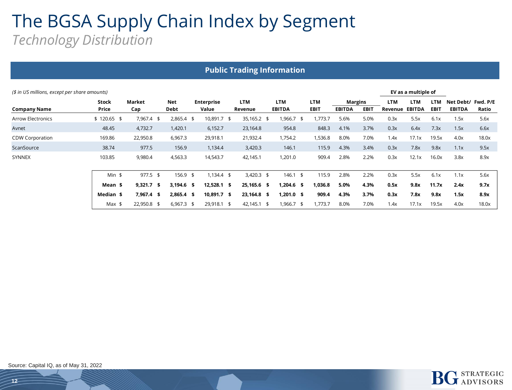### The BGSA Supply Chain Index by Segment *Technology Distribution*

| <b>Public Trading Information</b>                                    |              |              |              |                   |              |               |             |                |             |            |               |             |                    |       |
|----------------------------------------------------------------------|--------------|--------------|--------------|-------------------|--------------|---------------|-------------|----------------|-------------|------------|---------------|-------------|--------------------|-------|
| (\$ in US millions, except per share amounts)<br>EV as a multiple of |              |              |              |                   |              |               |             |                |             |            |               |             |                    |       |
|                                                                      | <b>Stock</b> | Market       | Net          | <b>Enterprise</b> | <b>LTM</b>   | <b>LTM</b>    | <b>LTM</b>  | <b>Margins</b> |             | <b>LTM</b> | <b>LTM</b>    | LTM         | Net Debt/ Fwd. P/E |       |
| <b>Company Name</b>                                                  | Price        | Cap          | Debt         | Value             | Revenue      | <b>EBITDA</b> | <b>EBIT</b> | <b>EBITDA</b>  | <b>EBIT</b> | Revenue    | <b>EBITDA</b> | <b>EBIT</b> | <b>EBITDA</b>      | Ratio |
| <b>Arrow Electronics</b>                                             | $$120.65$ \$ | 7,967.4 \$   | $2,865.4$ \$ | 10,891.7 \$       | 35,165.2 \$  | $,966.7$ \$   | ,773.7      | 5.6%           | 5.0%        | 0.3x       | 5.5x          | 6.1x        | 1.5x               | 5.6x  |
| Avnet                                                                | 48.45        | 4,732.7      | 1,420.1      | 6,152.7           | 23,164.8     | 954.8         | 848.3       | 4.1%           | 3.7%        | 0.3x       | 6.4x          | 7.3x        | 1.5x               | 6.6x  |
| <b>CDW Corporation</b>                                               | 169.86       | 22,950.8     | 6,967.3      | 29,918.1          | 21,932.4     | 1,754.2       | 1,536.8     | 8.0%           | 7.0%        | 1.4x       | 17.1x         | 19.5x       | 4.0x               | 18.0x |
| ScanSource                                                           | 38.74        | 977.5        | 156.9        | 1,134.4           | 3,420.3      | 146.1         | 115.9       | 4.3%           | 3.4%        | 0.3x       | 7.8x          | 9.8x        | 1.1x               | 9.5x  |
| <b>SYNNEX</b>                                                        | 103.85       | 9,980.4      | 4,563.3      | 14,543.7          | 42,145.1     | 1,201.0       | 909.4       | 2.8%           | 2.2%        | 0.3x       | 12.1x         | 16.0x       | 3.8x               | 8.9x  |
|                                                                      | $Min$ \$     | $977.5$ \$   | 156.9 \$     | $1,134.4$ \$      | $3,420.3$ \$ | 146.1<br>\$   | 115.9       | 2.8%           | 2.2%        | 0.3x       | 5.5x          | 6.1x        | 1.1x               | 5.6x  |
|                                                                      | Mean \$      | $9,321.7$ \$ | $3,194.6$ \$ | $12,528.1$ \$     | 25,165.6 \$  | 1,204.6 \$    | 1,036.8     | 5.0%           | 4.3%        | 0.5x       | 9.8x          | 11.7x       | 2.4x               | 9.7x  |
|                                                                      | Median \$    | $7,967.4$ \$ | $2,865.4$ \$ | 10,891.7 \$       | 23,164.8 \$  | 1,201.0 \$    | 909.4       | 4.3%           | 3.7%        | 0.3x       | 7.8x          | 9.8x        | 1.5x               | 8.9x  |
|                                                                      | $Max$ \$     | 22,950.8 \$  | $6,967.3$ \$ | 29,918.1 \$       | 42,145.1 \$  | 1,966.7 \$    | 1,773.7     | 8.0%           | 7.0%        | 1.4x       | 17.1x         | 19.5x       | 4.0x               | 18.0x |

![](_page_11_Picture_3.jpeg)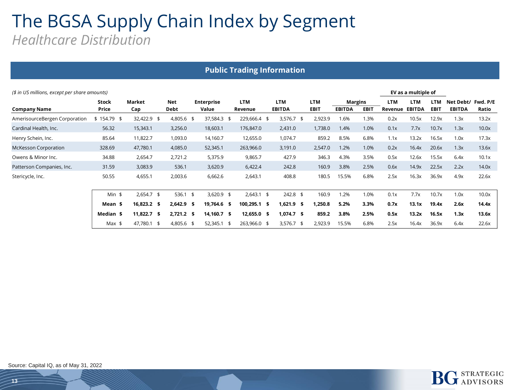#### The BGSA Supply Chain Index by Segment *Healthcare Distribution*

|                                                                      | <b>Public Trading Information</b> |                  |                    |                            |                       |                             |                    |               |                               |                       |                      |                    |                            |                   |  |
|----------------------------------------------------------------------|-----------------------------------|------------------|--------------------|----------------------------|-----------------------|-----------------------------|--------------------|---------------|-------------------------------|-----------------------|----------------------|--------------------|----------------------------|-------------------|--|
| EV as a multiple of<br>(\$ in US millions, except per share amounts) |                                   |                  |                    |                            |                       |                             |                    |               |                               |                       |                      |                    |                            |                   |  |
| <b>Company Name</b>                                                  | <b>Stock</b><br>Price             | Market<br>Cap    | <b>Net</b><br>Debt | <b>Enterprise</b><br>Value | <b>LTM</b><br>Revenue | <b>LTM</b><br><b>EBITDA</b> | LTM<br><b>EBIT</b> | <b>EBITDA</b> | <b>Margins</b><br><b>EBIT</b> | <b>LTM</b><br>Revenue | LTM<br><b>EBITDA</b> | LTM<br><b>EBIT</b> | Net Debt/<br><b>EBITDA</b> | Fwd. P/E<br>Ratio |  |
| AmerisourceBergen Corporation                                        | $$154.79$ \$                      | 32,422.9 \$      | 4,805.6 \$         | 37,584.3                   | 229,666.4 \$<br>- \$  | $3,576.7$ \$                | 2,923.9            | 1.6%          | 1.3%                          | 0.2x                  | 10.5x                | 12.9x              | 1.3x                       | 13.2x             |  |
| Cardinal Health, Inc.                                                | 56.32                             | 15,343.1         | 3,256.0            | 18,603.1                   | 176,847.0             | 2,431.0                     | 1,738.0            | 1.4%          | 1.0%                          | 0.1x                  | 7.7x                 | 10.7x              | 1.3x                       | 10.0x             |  |
| Henry Schein, Inc.                                                   | 85.64                             | 11,822.7         | 1,093.0            | 14,160.7                   | 12,655.0              | 1,074.7                     | 859.2              | 8.5%          | 6.8%                          | 1.1x                  | 13.2x                | 16.5x              | 1.0x                       | 17.3x             |  |
| <b>McKesson Corporation</b>                                          | 328.69                            | 47,780.1         | 4,085.0            | 52,345.1                   | 263,966.0             | 3,191.0                     | 2,547.0            | 1.2%          | 1.0%                          | 0.2x                  | 16.4x                | 20.6x              | 1.3x                       | 13.6x             |  |
| Owens & Minor Inc.                                                   | 34.88                             | 2,654.7          | 2,721.2            | 5,375.9                    | 9,865.7               | 427.9                       | 346.3              | 4.3%          | 3.5%                          | 0.5x                  | 12.6x                | 15.5x              | 6.4x                       | 10.1x             |  |
| Patterson Companies, Inc.                                            | 31.59                             | 3,083.9          | 536.1              | 3,620.9                    | 6,422.4               | 242.8                       | 160.9              | 3.8%          | 2.5%                          | 0.6x                  | 14.9x                | 22.5x              | 2.2x                       | 14.0x             |  |
| Stericycle, Inc.                                                     | 50.55                             | 4,655.1          | 2,003.6            | 6,662.6                    | 2,643.1               | 408.8                       | 180.5              | 15.5%         | 6.8%                          | 2.5x                  | 16.3x                | 36.9x              | 4.9x                       | 22.6x             |  |
|                                                                      | Min $$$                           | $2,654.7$ \$     | $536.1$ \$         | $3,620.9$ \$               | $2,643.1$ \$          | $242.8$ \$                  | 160.9              | 1.2%          | 1.0%                          | 0.1x                  | 7.7x                 | 10.7x              | 1.0x                       | 10.0x             |  |
|                                                                      | Mean \$                           | 16,823.2 \$      | $2,642.9$ \$       | 19,764.6 \$                | 100,295.1 \$          | 1,621.9 \$                  | 1,250.8            | 5.2%          | 3.3%                          | 0.7x                  | 13.1x                | 19.4x              | 2.6x                       | 14.4x             |  |
|                                                                      | Median \$                         | 11,822.7<br>- \$ | $2,721.2$ \$       | 14,160.7 \$                | 12,655.0 \$           | $1,074.7$ \$                | 859.2              | 3.8%          | 2.5%                          | 0.5x                  | 13.2x                | 16.5x              | 1.3x                       | 13.6x             |  |
|                                                                      | $Max$ \$                          | 47,780.1<br>- \$ | 4,805.6 \$         | 52,345.1 \$                | 263,966.0 \$          | $3,576.7$ \$                | 2,923.9            | 15.5%         | 6.8%                          | 2.5x                  | 16.4x                | 36.9x              | 6.4x                       | 22.6x             |  |

![](_page_12_Picture_2.jpeg)

**RATEGIC** 

**J** ADVISORS